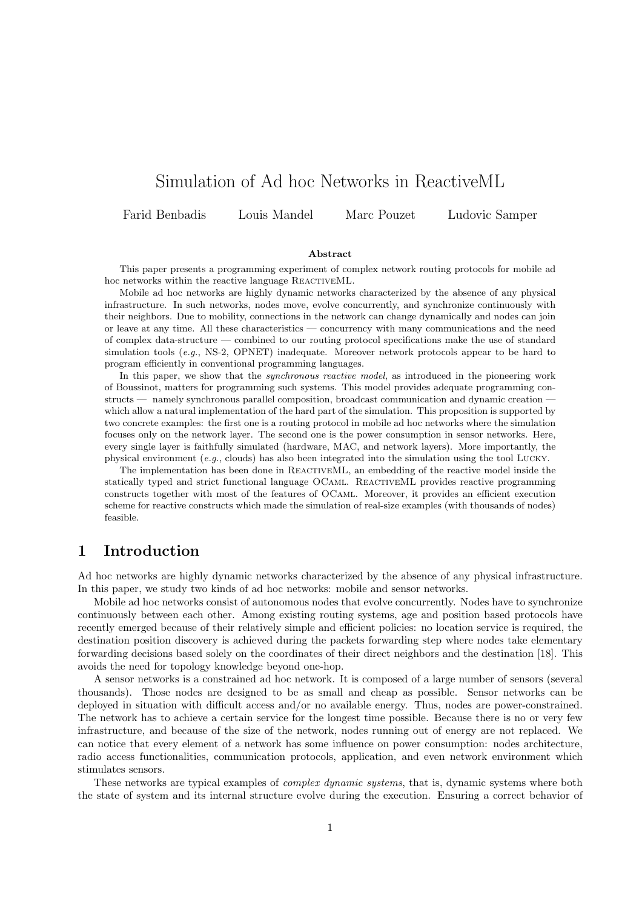# Simulation of Ad hoc Networks in ReactiveML

Farid Benbadis Louis Mandel Marc Pouzet Ludovic Samper

#### Abstract

This paper presents a programming experiment of complex network routing protocols for mobile ad hoc networks within the reactive language REACTIVEML.

Mobile ad hoc networks are highly dynamic networks characterized by the absence of any physical infrastructure. In such networks, nodes move, evolve concurrently, and synchronize continuously with their neighbors. Due to mobility, connections in the network can change dynamically and nodes can join or leave at any time. All these characteristics — concurrency with many communications and the need of complex data-structure — combined to our routing protocol specifications make the use of standard simulation tools  $(e.g., \text{NS-2}, \text{OPNET})$  inadequate. Moreover network protocols appear to be hard to program efficiently in conventional programming languages.

In this paper, we show that the *synchronous reactive model*, as introduced in the pioneering work of Boussinot, matters for programming such systems. This model provides adequate programming constructs — namely synchronous parallel composition, broadcast communication and dynamic creation which allow a natural implementation of the hard part of the simulation. This proposition is supported by two concrete examples: the first one is a routing protocol in mobile ad hoc networks where the simulation focuses only on the network layer. The second one is the power consumption in sensor networks. Here, every single layer is faithfully simulated (hardware, MAC, and network layers). More importantly, the physical environment  $(e.g.,$  clouds) has also been integrated into the simulation using the tool LUCKY.

The implementation has been done in REACTIVEML, an embedding of the reactive model inside the statically typed and strict functional language OCAML. REACTIVEML provides reactive programming constructs together with most of the features of OCaml. Moreover, it provides an efficient execution scheme for reactive constructs which made the simulation of real-size examples (with thousands of nodes) feasible.

# 1 Introduction

Ad hoc networks are highly dynamic networks characterized by the absence of any physical infrastructure. In this paper, we study two kinds of ad hoc networks: mobile and sensor networks.

Mobile ad hoc networks consist of autonomous nodes that evolve concurrently. Nodes have to synchronize continuously between each other. Among existing routing systems, age and position based protocols have recently emerged because of their relatively simple and efficient policies: no location service is required, the destination position discovery is achieved during the packets forwarding step where nodes take elementary forwarding decisions based solely on the coordinates of their direct neighbors and the destination [\[18\]](#page-24-0). This avoids the need for topology knowledge beyond one-hop.

A sensor networks is a constrained ad hoc network. It is composed of a large number of sensors (several thousands). Those nodes are designed to be as small and cheap as possible. Sensor networks can be deployed in situation with difficult access and/or no available energy. Thus, nodes are power-constrained. The network has to achieve a certain service for the longest time possible. Because there is no or very few infrastructure, and because of the size of the network, nodes running out of energy are not replaced. We can notice that every element of a network has some influence on power consumption: nodes architecture, radio access functionalities, communication protocols, application, and even network environment which stimulates sensors.

These networks are typical examples of *complex dynamic systems*, that is, dynamic systems where both the state of system and its internal structure evolve during the execution. Ensuring a correct behavior of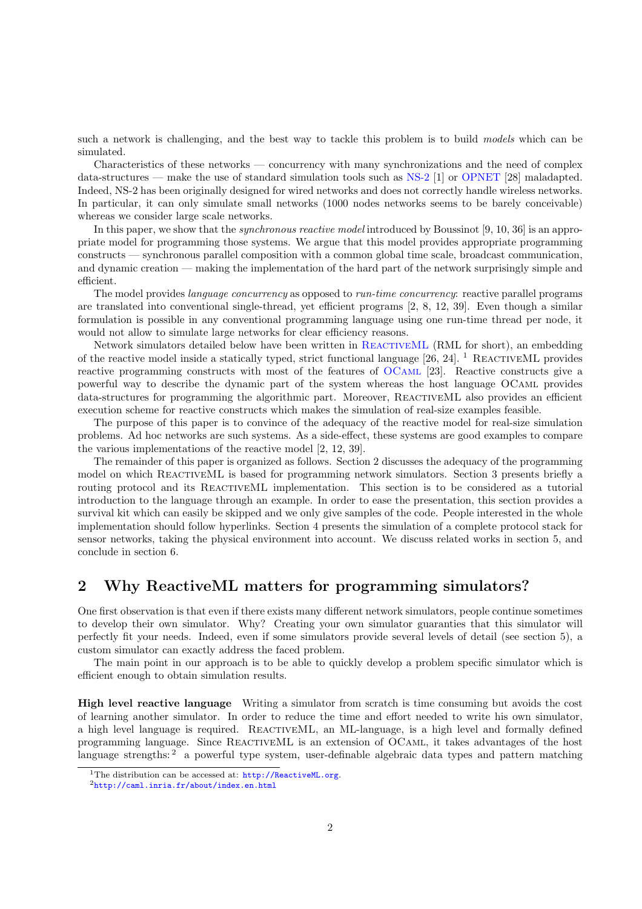such a network is challenging, and the best way to tackle this problem is to build models which can be simulated.

Characteristics of these networks — concurrency with many synchronizations and the need of complex data-structures — make the use of standard simulation tools such as [NS-2](http://www.isi.edu/nsnam/ns) [\[1\]](#page-23-0) or [OPNET](http://www.opnet.com) [\[28\]](#page-24-1) maladapted. Indeed, NS-2 has been originally designed for wired networks and does not correctly handle wireless networks. In particular, it can only simulate small networks (1000 nodes networks seems to be barely conceivable) whereas we consider large scale networks.

In this paper, we show that the *synchronous reactive model* introduced by Boussinot [\[9,](#page-23-1) [10,](#page-23-2) [36\]](#page-25-0) is an appropriate model for programming those systems. We argue that this model provides appropriate programming constructs — synchronous parallel composition with a common global time scale, broadcast communication, and dynamic creation — making the implementation of the hard part of the network surprisingly simple and efficient.

The model provides *language concurrency* as opposed to *run-time concurrency*: reactive parallel programs are translated into conventional single-thread, yet efficient programs [\[2,](#page-23-3) [8,](#page-23-4) [12,](#page-23-5) [39\]](#page-25-1). Even though a similar formulation is possible in any conventional programming language using one run-time thread per node, it would not allow to simulate large networks for clear efficiency reasons.

Network simulators detailed below have been written in REACTIVEML (RML for short), an embedding of the reactive model inside a statically typed, strict functional language  $[26, 24]$  $[26, 24]$ . <sup>[1](#page-1-0)</sup> REACTIVEML provides reactive programming constructs with most of the features of [OCaml](http://caml.inria.fr) [\[23\]](#page-24-4). Reactive constructs give a powerful way to describe the dynamic part of the system whereas the host language OCaml provides data-structures for programming the algorithmic part. Moreover, REACTIVEML also provides an efficient execution scheme for reactive constructs which makes the simulation of real-size examples feasible.

The purpose of this paper is to convince of the adequacy of the reactive model for real-size simulation problems. Ad hoc networks are such systems. As a side-effect, these systems are good examples to compare the various implementations of the reactive model [\[2,](#page-23-3) [12,](#page-23-5) [39\]](#page-25-1).

The remainder of this paper is organized as follows. Section [2](#page-1-1) discusses the adequacy of the programming model on which ReactiveML is based for programming network simulators. Section [3](#page-3-0) presents briefly a routing protocol and its REACTIVEML implementation. This section is to be considered as a tutorial introduction to the language through an example. In order to ease the presentation, this section provides a survival kit which can easily be skipped and we only give samples of the code. People interested in the whole implementation should follow hyperlinks. Section [4](#page-15-0) presents the simulation of a complete protocol stack for sensor networks, taking the physical environment into account. We discuss related works in section [5,](#page-21-0) and conclude in section [6.](#page-22-0)

# <span id="page-1-1"></span>2 Why ReactiveML matters for programming simulators?

One first observation is that even if there exists many different network simulators, people continue sometimes to develop their own simulator. Why? Creating your own simulator guaranties that this simulator will perfectly fit your needs. Indeed, even if some simulators provide several levels of detail (see section [5\)](#page-21-0), a custom simulator can exactly address the faced problem.

The main point in our approach is to be able to quickly develop a problem specific simulator which is efficient enough to obtain simulation results.

High level reactive language Writing a simulator from scratch is time consuming but avoids the cost of learning another simulator. In order to reduce the time and effort needed to write his own simulator, a high level language is required. ReactiveML, an ML-language, is a high level and formally defined programming language. Since ReactiveML is an extension of OCaml, it takes advantages of the host language strengths:<sup>[2](#page-1-2)</sup> a powerful type system, user-definable algebraic data types and pattern matching

<sup>&</sup>lt;sup>1</sup>The distribution can be accessed at:  $http://ReactiveML.org$ .

<span id="page-1-2"></span><span id="page-1-0"></span><sup>2</sup><http://caml.inria.fr/about/index.en.html>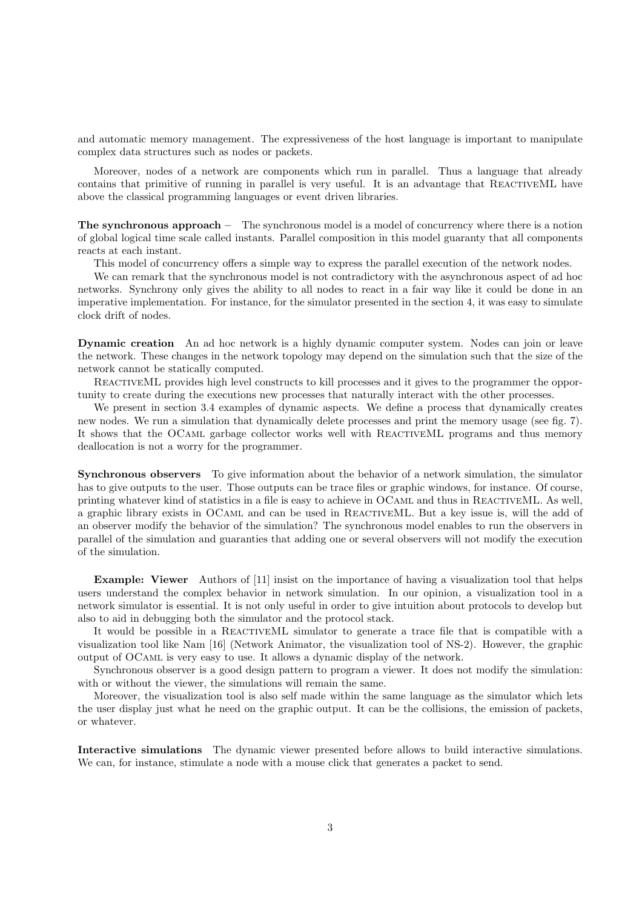and automatic memory management. The expressiveness of the host language is important to manipulate complex data structures such as nodes or packets.

Moreover, nodes of a network are components which run in parallel. Thus a language that already contains that primitive of running in parallel is very useful. It is an advantage that REACTIVEML have above the classical programming languages or event driven libraries.

**The synchronous approach** – The synchronous model is a model of concurrency where there is a notion of global logical time scale called instants. Parallel composition in this model guaranty that all components reacts at each instant.

This model of concurrency offers a simple way to express the parallel execution of the network nodes.

We can remark that the synchronous model is not contradictory with the asynchronous aspect of ad hoc networks. Synchrony only gives the ability to all nodes to react in a fair way like it could be done in an imperative implementation. For instance, for the simulator presented in the section [4,](#page-15-0) it was easy to simulate clock drift of nodes.

Dynamic creation An ad hoc network is a highly dynamic computer system. Nodes can join or leave the network. These changes in the network topology may depend on the simulation such that the size of the network cannot be statically computed.

REACTIVEML provides high level constructs to kill processes and it gives to the programmer the opportunity to create during the executions new processes that naturally interact with the other processes.

We present in section [3.4](#page-14-0) examples of dynamic aspects. We define a process that dynamically creates new nodes. We run a simulation that dynamically delete processes and print the memory usage (see fig. [7\)](#page-15-1). It shows that the OCaml garbage collector works well with ReactiveML programs and thus memory deallocation is not a worry for the programmer.

Synchronous observers To give information about the behavior of a network simulation, the simulator has to give outputs to the user. Those outputs can be trace files or graphic windows, for instance. Of course, printing whatever kind of statistics in a file is easy to achieve in OCaml and thus in ReactiveML. As well, a graphic library exists in OCaml and can be used in ReactiveML. But a key issue is, will the add of an observer modify the behavior of the simulation? The synchronous model enables to run the observers in parallel of the simulation and guaranties that adding one or several observers will not modify the execution of the simulation.

Example: Viewer Authors of [\[11\]](#page-23-6) insist on the importance of having a visualization tool that helps users understand the complex behavior in network simulation. In our opinion, a visualization tool in a network simulator is essential. It is not only useful in order to give intuition about protocols to develop but also to aid in debugging both the simulator and the protocol stack.

It would be possible in a REACTIVEML simulator to generate a trace file that is compatible with a visualization tool like Nam [\[16\]](#page-23-7) (Network Animator, the visualization tool of NS-2). However, the graphic output of OCaml is very easy to use. It allows a dynamic display of the network.

Synchronous observer is a good design pattern to program a viewer. It does not modify the simulation: with or without the viewer, the simulations will remain the same.

Moreover, the visualization tool is also self made within the same language as the simulator which lets the user display just what he need on the graphic output. It can be the collisions, the emission of packets, or whatever.

Interactive simulations The dynamic viewer presented before allows to build interactive simulations. We can, for instance, stimulate a node with a mouse click that generates a packet to send.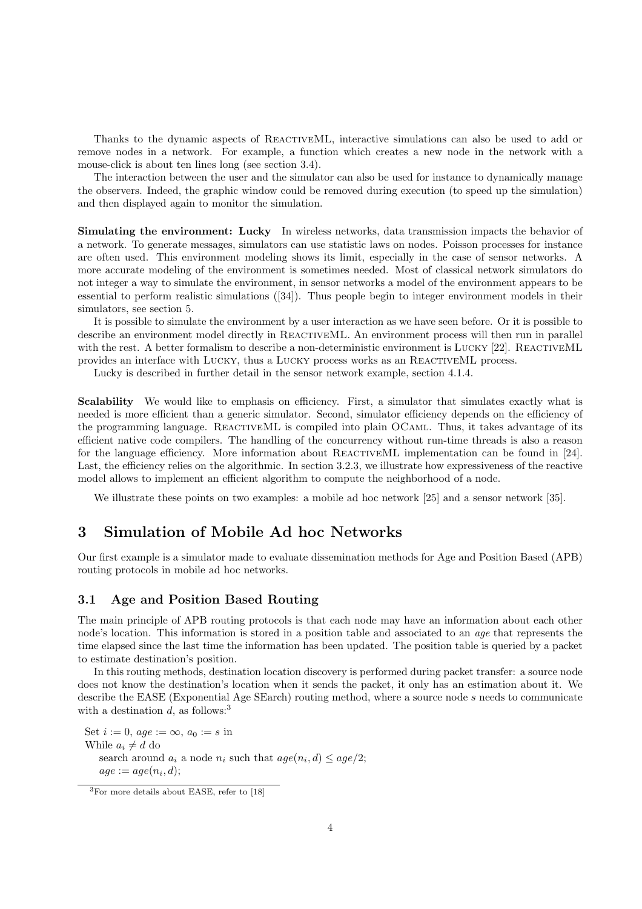Thanks to the dynamic aspects of REACTIVEML, interactive simulations can also be used to add or remove nodes in a network. For example, a function which creates a new node in the network with a mouse-click is about ten lines long (see section [3.4\)](#page-14-0).

The interaction between the user and the simulator can also be used for instance to dynamically manage the observers. Indeed, the graphic window could be removed during execution (to speed up the simulation) and then displayed again to monitor the simulation.

Simulating the environment: Lucky In wireless networks, data transmission impacts the behavior of a network. To generate messages, simulators can use statistic laws on nodes. Poisson processes for instance are often used. This environment modeling shows its limit, especially in the case of sensor networks. A more accurate modeling of the environment is sometimes needed. Most of classical network simulators do not integer a way to simulate the environment, in sensor networks a model of the environment appears to be essential to perform realistic simulations ([\[34\]](#page-25-2)). Thus people begin to integer environment models in their simulators, see section [5.](#page-21-1)

It is possible to simulate the environment by a user interaction as we have seen before. Or it is possible to describe an environment model directly in REACTIVEML. An environment process will then run in parallel with the rest. A better formalism to describe a non-deterministic environment is LUCKY [\[22\]](#page-24-5). REACTIVEML provides an interface with Lucky, thus a Lucky process works as an ReactiveML process.

Lucky is described in further detail in the sensor network example, section [4.1.4.](#page-17-0)

Scalability We would like to emphasis on efficiency. First, a simulator that simulates exactly what is needed is more efficient than a generic simulator. Second, simulator efficiency depends on the efficiency of the programming language. ReactiveML is compiled into plain OCaml. Thus, it takes advantage of its efficient native code compilers. The handling of the concurrency without run-time threads is also a reason for the language efficiency. More information about ReactiveML implementation can be found in [\[24\]](#page-24-3). Last, the efficiency relies on the algorithmic. In section [3.2.3,](#page-8-0) we illustrate how expressiveness of the reactive model allows to implement an efficient algorithm to compute the neighborhood of a node.

We illustrate these points on two examples: a mobile ad hoc network [\[25\]](#page-24-6) and a sensor network [\[35\]](#page-25-3).

# <span id="page-3-0"></span>3 Simulation of Mobile Ad hoc Networks

Our first example is a simulator made to evaluate dissemination methods for Age and Position Based (APB) routing protocols in mobile ad hoc networks.

## <span id="page-3-2"></span>3.1 Age and Position Based Routing

The main principle of APB routing protocols is that each node may have an information about each other node's location. This information is stored in a position table and associated to an age that represents the time elapsed since the last time the information has been updated. The position table is queried by a packet to estimate destination's position.

In this routing methods, destination location discovery is performed during packet transfer: a source node does not know the destination's location when it sends the packet, it only has an estimation about it. We describe the EASE (Exponential Age SEarch) routing method, where a source node s needs to communicate with a destination  $d$ , as follows:<sup>[3](#page-3-1)</sup>

Set  $i := 0$ ,  $age := \infty$ ,  $a_0 := s$  in While  $a_i \neq d$  do search around  $a_i$  a node  $n_i$  such that  $age(n_i, d) \leq age/2$ ;  $age := age(n_i, d);$ 

<span id="page-3-1"></span><sup>&</sup>lt;sup>3</sup>For more details about EASE, refer to [\[18\]](#page-24-0)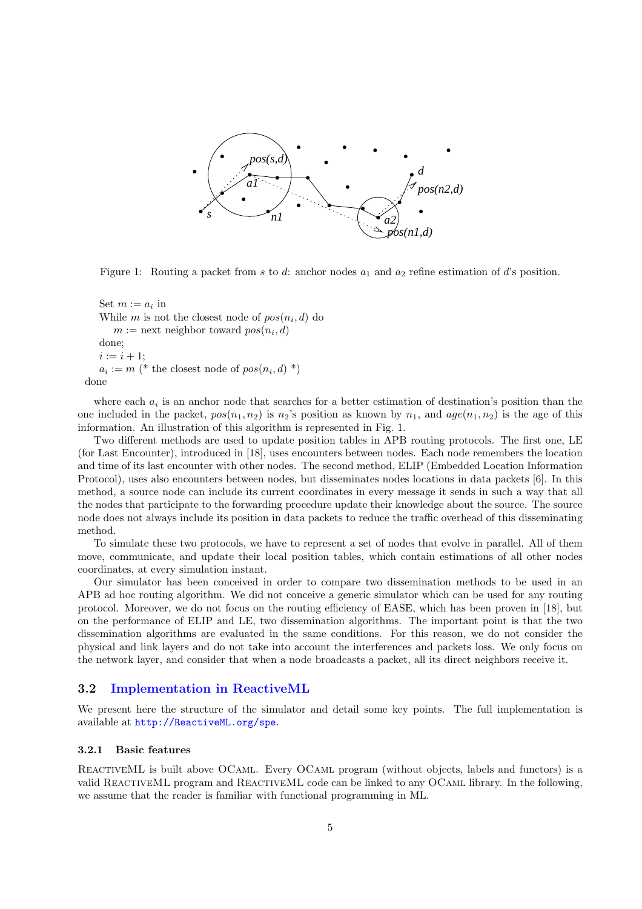

<span id="page-4-0"></span>Figure 1: Routing a packet from s to d: anchor nodes  $a_1$  and  $a_2$  refine estimation of d's position.

Set  $m := a_i$  in While m is not the closest node of  $pos(n_i, d)$  do  $m :=$  next neighbor toward  $pos(n_i, d)$ done;  $i := i + 1;$  $a_i := m$  (\* the closest node of  $pos(n_i, d)$ \*) done

where each  $a_i$  is an anchor node that searches for a better estimation of destination's position than the one included in the packet,  $pos(n_1, n_2)$  is  $n_2$ 's position as known by  $n_1$ , and  $age(n_1, n_2)$  is the age of this information. An illustration of this algorithm is represented in Fig. [1.](#page-4-0)

Two different methods are used to update position tables in APB routing protocols. The first one, LE (for Last Encounter), introduced in [\[18\]](#page-24-0), uses encounters between nodes. Each node remembers the location and time of its last encounter with other nodes. The second method, ELIP (Embedded Location Information Protocol), uses also encounters between nodes, but disseminates nodes locations in data packets [\[6\]](#page-23-8). In this method, a source node can include its current coordinates in every message it sends in such a way that all the nodes that participate to the forwarding procedure update their knowledge about the source. The source node does not always include its position in data packets to reduce the traffic overhead of this disseminating method.

To simulate these two protocols, we have to represent a set of nodes that evolve in parallel. All of them move, communicate, and update their local position tables, which contain estimations of all other nodes coordinates, at every simulation instant.

Our simulator has been conceived in order to compare two dissemination methods to be used in an APB ad hoc routing algorithm. We did not conceive a generic simulator which can be used for any routing protocol. Moreover, we do not focus on the routing efficiency of EASE, which has been proven in [\[18\]](#page-24-0), but on the performance of ELIP and LE, two dissemination algorithms. The important point is that the two dissemination algorithms are evaluated in the same conditions. For this reason, we do not consider the physical and link layers and do not take into account the interferences and packets loss. We only focus on the network layer, and consider that when a node broadcasts a packet, all its direct neighbors receive it.

## 3.2 [Implementation in ReactiveML](http://ReactiveML.org/spe/elip)

We present here the structure of the simulator and detail some key points. The full implementation is available at <http://ReactiveML.org/spe>.

#### 3.2.1 Basic features

REACTIVEML is built above OCAML. Every OCAML program (without objects, labels and functors) is a valid ReactiveML program and ReactiveML code can be linked to any OCaml library. In the following, we assume that the reader is familiar with functional programming in ML.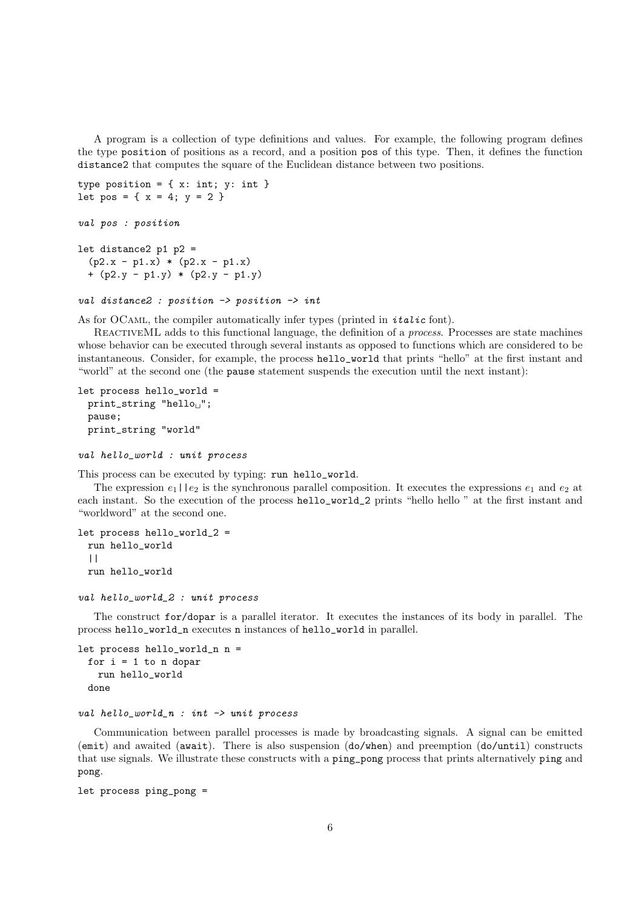A program is a collection of type definitions and values. For example, the following program defines the type position of positions as a record, and a position pos of this type. Then, it defines the function distance2 that computes the square of the Euclidean distance between two positions.

```
type position = {x: int; y: int }
let pos = { x = 4; y = 2 }
val pos : position
let distance2 p1 p2 =
 (p2.x - p1.x) * (p2.x - p1.x)+ (p2.y - p1.y) * (p2.y - p1.y)
```

```
val distance2 : position -> position -> int
```
As for OCAML, the compiler automatically infer types (printed in *italic* font).

REACTIVEML adds to this functional language, the definition of a *process*. Processes are state machines whose behavior can be executed through several instants as opposed to functions which are considered to be instantaneous. Consider, for example, the process hello\_world that prints "hello" at the first instant and "world" at the second one (the pause statement suspends the execution until the next instant):

```
let process hello_world =
 print_string "hello<sub>1</sub>";
 pause;
 print_string "world"
```

```
val hello_world : unit process
```
This process can be executed by typing: run hello\_world.

The expression  $e_1 | e_2$  is the synchronous parallel composition. It executes the expressions  $e_1$  and  $e_2$  at each instant. So the execution of the process hello\_world\_2 prints "hello hello " at the first instant and "worldword" at the second one.

```
let process hello_world_2 =
 run hello_world
  | \cdot |run hello_world
```

```
val hello_world_2 : unit process
```
The construct for/dopar is a parallel iterator. It executes the instances of its body in parallel. The process hello\_world\_n executes n instances of hello\_world in parallel.

```
let process hello_world_n n =
 for i = 1 to n dopar
   run hello_world
 done
```
### val hello\_world\_n : int -> unit process

Communication between parallel processes is made by broadcasting signals. A signal can be emitted (emit) and awaited (await). There is also suspension (do/when) and preemption (do/until) constructs that use signals. We illustrate these constructs with a ping\_pong process that prints alternatively ping and pong.

```
let process ping_pong =
```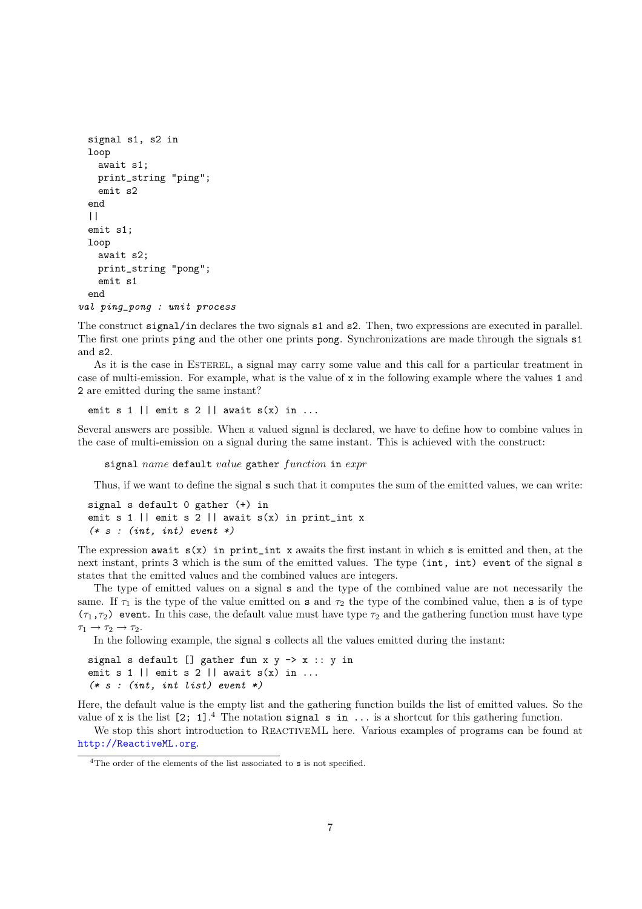```
signal s1, s2 in
 loop
   await s1;
   print_string "ping";
   emit s2
 end
 ||
 emit s1;
 loop
   await s2;
   print_string "pong";
   emit s1
 end
val ping_pong : unit process
```
The construct signal/in declares the two signals s1 and s2. Then, two expressions are executed in parallel. The first one prints ping and the other one prints pong. Synchronizations are made through the signals s1 and s2.

As it is the case in Esterel, a signal may carry some value and this call for a particular treatment in case of multi-emission. For example, what is the value of x in the following example where the values 1 and 2 are emitted during the same instant?

emit s 1  $||$  emit s 2  $||$  await s(x) in ...

Several answers are possible. When a valued signal is declared, we have to define how to combine values in the case of multi-emission on a signal during the same instant. This is achieved with the construct:

signal name default value gather function in  $expr$ 

Thus, if we want to define the signal s such that it computes the sum of the emitted values, we can write:

```
signal s default 0 gather (+) in
emit s 1 || emit s 2 || await s(x) in print_int x
(* s : (int, int) event *)
```
The expression await  $s(x)$  in print\_int x awaits the first instant in which s is emitted and then, at the next instant, prints 3 which is the sum of the emitted values. The type (int, int) event of the signal s states that the emitted values and the combined values are integers.

The type of emitted values on a signal s and the type of the combined value are not necessarily the same. If  $\tau_1$  is the type of the value emitted on s and  $\tau_2$  the type of the combined value, then s is of type  $(\tau_1, \tau_2)$  event. In this case, the default value must have type  $\tau_2$  and the gathering function must have type  $\tau_1 \rightarrow \tau_2 \rightarrow \tau_2.$ 

In the following example, the signal s collects all the values emitted during the instant:

```
signal s default [] gather fun x y \rightarrow x :: y in
emit s 1 || emit s 2 || await s(x) in ...
(* s : (int, int list) event *)
```
Here, the default value is the empty list and the gathering function builds the list of emitted values. So the value of x is the list  $[2; 1]$ .<sup>[4](#page-6-0)</sup> The notation signal s in ... is a shortcut for this gathering function.

<span id="page-6-0"></span>We stop this short introduction to REACTIVEML here. Various examples of programs can be found at <http://ReactiveML.org>.

<sup>&</sup>lt;sup>4</sup>The order of the elements of the list associated to **s** is not specified.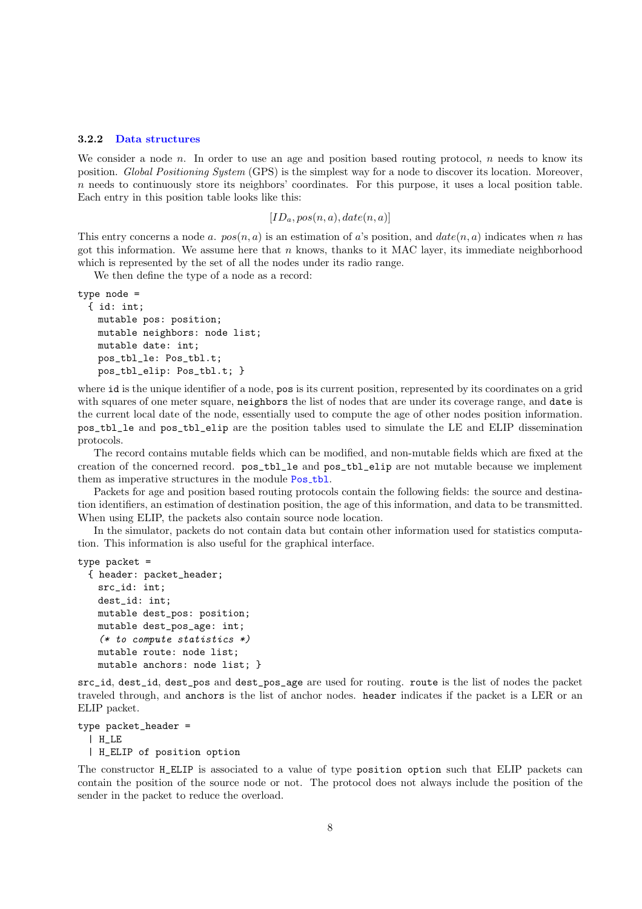#### 3.2.2 [Data structures](http://ReactiveML.org/spe/elip/global.rml.html)

We consider a node n. In order to use an age and position based routing protocol,  $n$  needs to know its position. Global Positioning System (GPS) is the simplest way for a node to discover its location. Moreover, n needs to continuously store its neighbors' coordinates. For this purpose, it uses a local position table. Each entry in this position table looks like this:

$$
[ID_a, pos(n, a), date(n, a)]
$$

This entry concerns a node a.  $pos(n, a)$  is an estimation of a's position, and  $date(n, a)$  indicates when n has got this information. We assume here that  $n$  knows, thanks to it MAC layer, its immediate neighborhood which is represented by the set of all the nodes under its radio range.

We then define the type of a node as a record:

```
type node =
 { id: int;
   mutable pos: position;
   mutable neighbors: node list;
   mutable date: int;
   pos_tbl_le: Pos_tbl.t;
   pos_tbl_elip: Pos_tbl.t; }
```
where id is the unique identifier of a node, pos is its current position, represented by its coordinates on a grid with squares of one meter square, neighbors the list of nodes that are under its coverage range, and date is the current local date of the node, essentially used to compute the age of other nodes position information. pos\_tbl\_le and pos\_tbl\_elip are the position tables used to simulate the LE and ELIP dissemination protocols.

The record contains mutable fields which can be modified, and non-mutable fields which are fixed at the creation of the concerned record. pos\_tbl\_le and pos\_tbl\_elip are not mutable because we implement them as imperative structures in the module [Pos](http://ReactiveML.org/spe/elip/pos_tbl.rmli.html)\_tbl.

Packets for age and position based routing protocols contain the following fields: the source and destination identifiers, an estimation of destination position, the age of this information, and data to be transmitted. When using ELIP, the packets also contain source node location.

In the simulator, packets do not contain data but contain other information used for statistics computation. This information is also useful for the graphical interface.

```
type packet =
 { header: packet_header;
   src_id: int;
   dest_id: int;
   mutable dest_pos: position;
   mutable dest_pos_age: int;
   (* to compute statistics *)mutable route: node list;
   mutable anchors: node list; }
```
src\_id, dest\_id, dest\_pos and dest\_pos\_age are used for routing. route is the list of nodes the packet traveled through, and anchors is the list of anchor nodes. header indicates if the packet is a LER or an ELIP packet.

```
type packet_header =
 | H_LE
  | H_ELIP of position option
```
The constructor H\_ELIP is associated to a value of type position option such that ELIP packets can contain the position of the source node or not. The protocol does not always include the position of the sender in the packet to reduce the overload.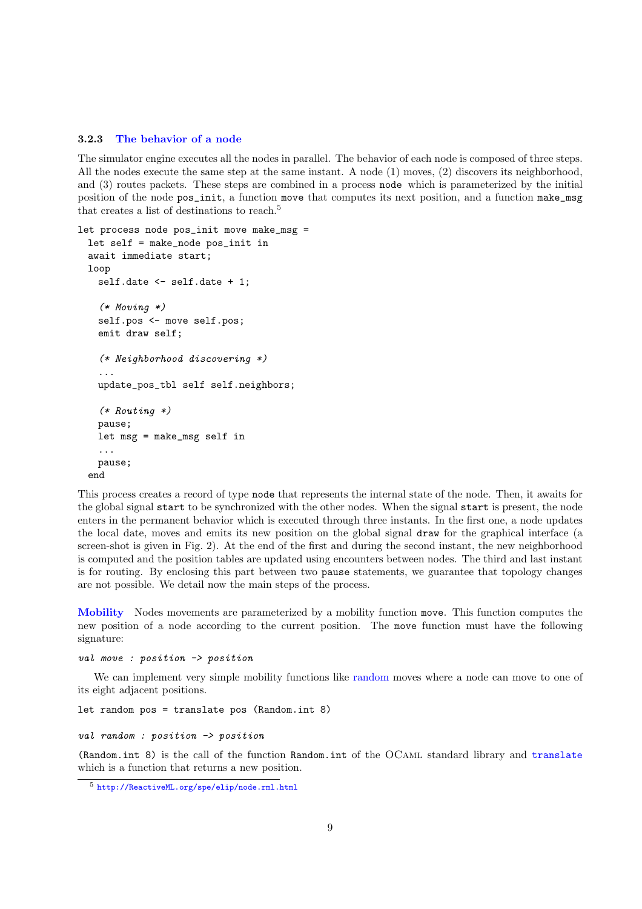#### <span id="page-8-0"></span>3.2.3 [The behavior of a node](http://ReactiveML.org/spe/elip/node.rml.html)

The simulator engine executes all the nodes in parallel. The behavior of each node is composed of three steps. All the nodes execute the same step at the same instant. A node (1) moves, (2) discovers its neighborhood, and (3) routes packets. These steps are combined in a process node which is parameterized by the initial position of the node pos init, a function move that computes its next position, and a function make msg that creates a list of destinations to reach.<sup>[5](#page-8-1)</sup>

```
let process node pos_init move make_msg =
 let self = make_node pos_init in
 await immediate start;
 loop
   self.date <- self.date + 1;
    (* Moving *)
   self.pos <- move self.pos;
   emit draw self;
    (* Neighborhood discovering *)
    ...
   update_pos_tbl self self.neighbors;
    (* Routing *)
   pause;
   let msg = make_msg self in
    ...
   pause;
 end
```
This process creates a record of type node that represents the internal state of the node. Then, it awaits for the global signal start to be synchronized with the other nodes. When the signal start is present, the node enters in the permanent behavior which is executed through three instants. In the first one, a node updates the local date, moves and emits its new position on the global signal draw for the graphical interface (a screen-shot is given in Fig. [2\)](#page-9-0). At the end of the first and during the second instant, the new neighborhood is computed and the position tables are updated using encounters between nodes. The third and last instant is for routing. By enclosing this part between two pause statements, we guarantee that topology changes are not possible. We detail now the main steps of the process.

[Mobility](http://ReactiveML.org/spe/elip/move.rml.html) Nodes movements are parameterized by a mobility function move. This function computes the new position of a node according to the current position. The move function must have the following signature:

```
val move : position -> position
```
We can implement very simple mobility functions like [random](http://ReactiveML.org/spe/elip/move.rml.html#random) moves where a node can move to one of its eight adjacent positions.

let random pos = translate pos (Random.int 8)

val random : position -> position

<span id="page-8-1"></span>(Random.int 8) is the call of the function Random.int of the OCaml standard library and [translate](http://ReactiveML.org/spe/elip/move.rml.html#translate) which is a function that returns a new position.

<sup>5</sup> <http://ReactiveML.org/spe/elip/node.rml.html>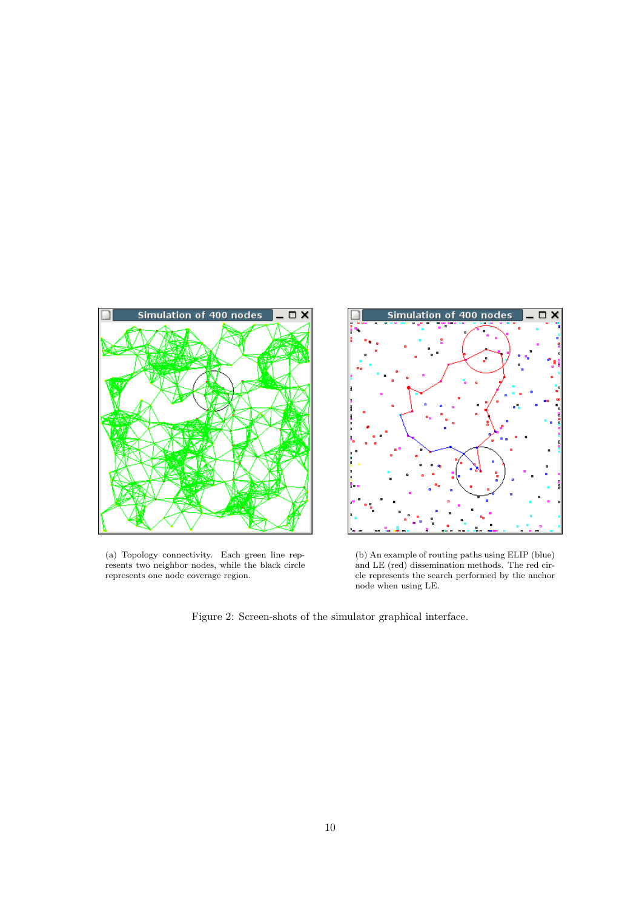

(a) Topology connectivity. Each green line represents two neighbor nodes, while the black circle represents one node coverage region.



(b) An example of routing paths using ELIP (blue) and LE (red) dissemination methods. The red circle represents the search performed by the anchor node when using LE.

<span id="page-9-0"></span>Figure 2: Screen-shots of the simulator graphical interface.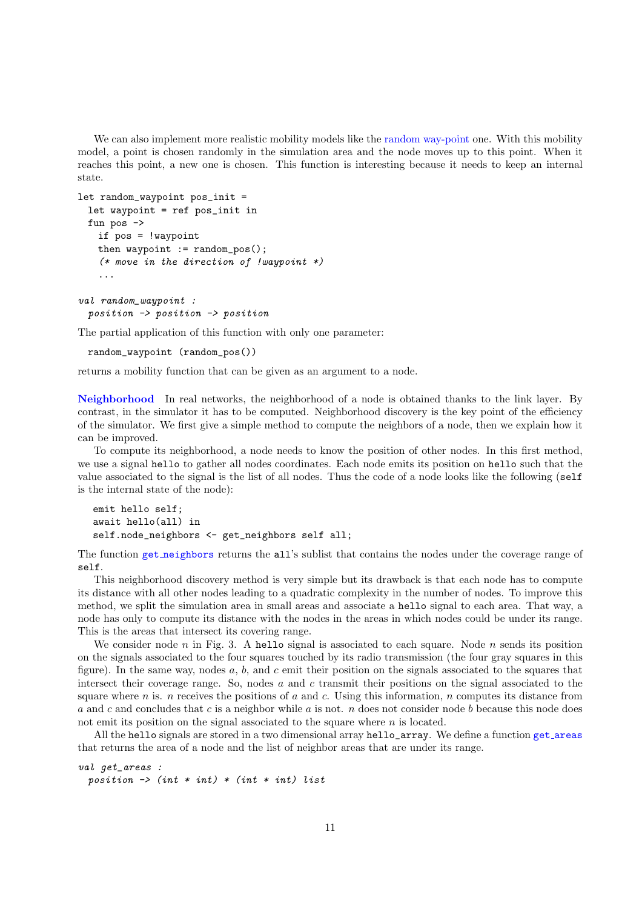We can also implement more realistic mobility models like the [random way-point](http://ReactiveML.org/spe/elip/move.rml.html#random_waypoint) one. With this mobility model, a point is chosen randomly in the simulation area and the node moves up to this point. When it reaches this point, a new one is chosen. This function is interesting because it needs to keep an internal state.

```
let random_waypoint pos_init =
 let waypoint = ref pos_init in
 fun pos ->
   if pos = !waypoint
   then waypoint := random_pos();
    (* move in the direction of !waypoint *)
    ...
```

```
val random_waypoint :
  position \rightarrow position \rightarrow position
```
The partial application of this function with only one parameter:

```
random_waypoint (random_pos())
```
returns a mobility function that can be given as an argument to a node.

[Neighborhood](http://ReactiveML.org/spe/elip/node.rml.html) In real networks, the neighborhood of a node is obtained thanks to the link layer. By contrast, in the simulator it has to be computed. Neighborhood discovery is the key point of the efficiency of the simulator. We first give a simple method to compute the neighbors of a node, then we explain how it can be improved.

To compute its neighborhood, a node needs to know the position of other nodes. In this first method, we use a signal hello to gather all nodes coordinates. Each node emits its position on hello such that the value associated to the signal is the list of all nodes. Thus the code of a node looks like the following (self is the internal state of the node):

```
emit hello self;
await hello(all) in
self.node_neighbors <- get_neighbors self all;
```
The function get [neighbors](http://ReactiveML.org/spe/elip/node.rml.html#get_neighbors) returns the all's sublist that contains the nodes under the coverage range of self.

This neighborhood discovery method is very simple but its drawback is that each node has to compute its distance with all other nodes leading to a quadratic complexity in the number of nodes. To improve this method, we split the simulation area in small areas and associate a hello signal to each area. That way, a node has only to compute its distance with the nodes in the areas in which nodes could be under its range. This is the areas that intersect its covering range.

We consider node n in Fig. [3.](#page-11-0) A hello signal is associated to each square. Node n sends its position on the signals associated to the four squares touched by its radio transmission (the four gray squares in this figure). In the same way, nodes  $a, b$ , and  $c$  emit their position on the signals associated to the squares that intersect their coverage range. So, nodes  $a$  and  $c$  transmit their positions on the signal associated to the square where n is. n receives the positions of a and c. Using this information, n computes its distance from a and c and concludes that c is a neighbor while a is not. n does not consider node b because this node does not emit its position on the signal associated to the square where n is located.

All the hello signals are stored in a two dimensional array hello\_array. We define a function get\_[areas](http://ReactiveML.org/spe/elip/area.rml.html#get_areas) that returns the area of a node and the list of neighbor areas that are under its range.

```
val get_areas :
  position \rightarrow (int * int) * (int * int) list
```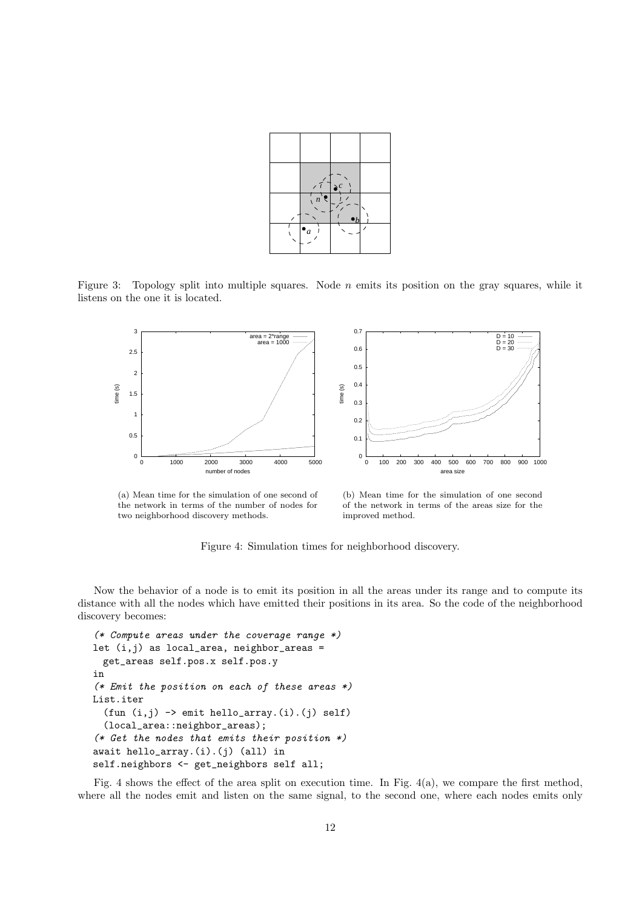

<span id="page-11-2"></span><span id="page-11-0"></span>Figure 3: Topology split into multiple squares. Node  $n$  emits its position on the gray squares, while it listens on the one it is located.



(a) Mean time for the simulation of one second of the network in terms of the number of nodes for two neighborhood discovery methods.

<span id="page-11-3"></span>(b) Mean time for the simulation of one second of the network in terms of the areas size for the improved method.

<span id="page-11-1"></span>Figure 4: Simulation times for neighborhood discovery.

Now the behavior of a node is to emit its position in all the areas under its range and to compute its distance with all the nodes which have emitted their positions in its area. So the code of the neighborhood discovery becomes:

```
(* Compute areas under the coverage range *)let (i,j) as local_area, neighbor_areas =
 get_areas self.pos.x self.pos.y
in
(* Emit the position on each of these areas *)List.iter
  (fun (i,j) \rightarrow emit~hello\_array.(i).(j) self)(local_area::neighbor_areas);
(* Get the nodes that emits their position *)await hello_array.(i).(j) (all) in
self.neighbors <- get_neighbors self all;
```
Fig. [4](#page-11-1) shows the effect of the area split on execution time. In Fig. [4\(a\),](#page-11-2) we compare the first method, where all the nodes emit and listen on the same signal, to the second one, where each nodes emits only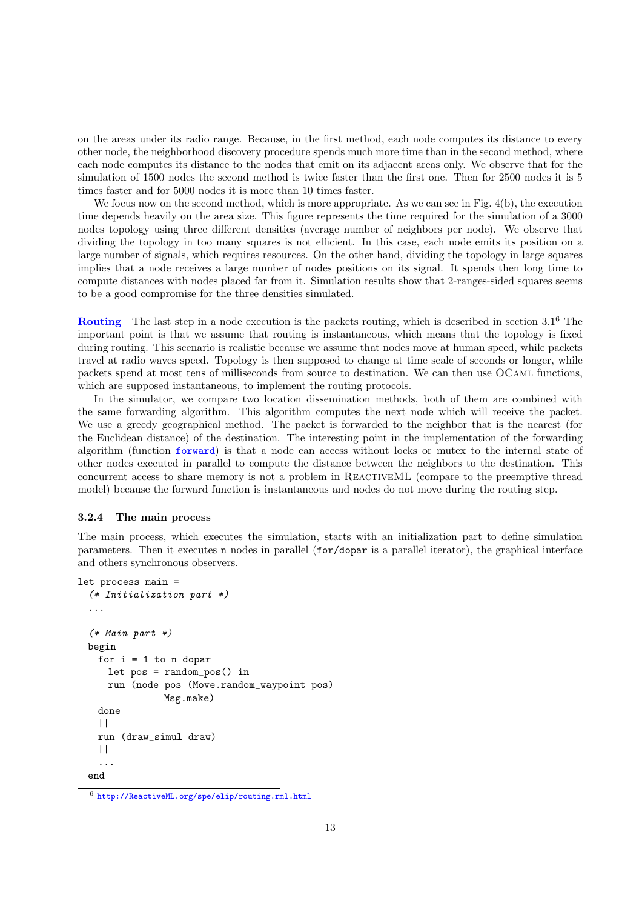on the areas under its radio range. Because, in the first method, each node computes its distance to every other node, the neighborhood discovery procedure spends much more time than in the second method, where each node computes its distance to the nodes that emit on its adjacent areas only. We observe that for the simulation of 1500 nodes the second method is twice faster than the first one. Then for 2500 nodes it is 5 times faster and for 5000 nodes it is more than 10 times faster.

We focus now on the second method, which is more appropriate. As we can see in Fig. [4\(b\),](#page-11-3) the execution time depends heavily on the area size. This figure represents the time required for the simulation of a 3000 nodes topology using three different densities (average number of neighbors per node). We observe that dividing the topology in too many squares is not efficient. In this case, each node emits its position on a large number of signals, which requires resources. On the other hand, dividing the topology in large squares implies that a node receives a large number of nodes positions on its signal. It spends then long time to compute distances with nodes placed far from it. Simulation results show that 2-ranges-sided squares seems to be a good compromise for the three densities simulated.

[Routing](http://ReactiveML.org/spe/elip/routing.rml.html) The last step in a node execution is the packets routing, which is described in section [3.1](#page-3-2)[6](#page-12-0) The important point is that we assume that routing is instantaneous, which means that the topology is fixed during routing. This scenario is realistic because we assume that nodes move at human speed, while packets travel at radio waves speed. Topology is then supposed to change at time scale of seconds or longer, while packets spend at most tens of milliseconds from source to destination. We can then use OCaml functions, which are supposed instantaneous, to implement the routing protocols.

In the simulator, we compare two location dissemination methods, both of them are combined with the same forwarding algorithm. This algorithm computes the next node which will receive the packet. We use a greedy geographical method. The packet is forwarded to the neighbor that is the nearest (for the Euclidean distance) of the destination. The interesting point in the implementation of the forwarding algorithm (function [forward](http://ReactiveML.org/spe/elip/routing.rml.html#forward)) is that a node can access without locks or mutex to the internal state of other nodes executed in parallel to compute the distance between the neighbors to the destination. This concurrent access to share memory is not a problem in ReactiveML (compare to the preemptive thread model) because the forward function is instantaneous and nodes do not move during the routing step.

#### 3.2.4 The main process

The main process, which executes the simulation, starts with an initialization part to define simulation parameters. Then it executes n nodes in parallel (for/dopar is a parallel iterator), the graphical interface and others synchronous observers.

```
let process main =
  (* Initialization part *)
  ...
  (* Main part *)
 begin
   for i = 1 to n dopar
     let pos = random_pos() in
     run (node pos (Move.random_waypoint pos)
                Msg.make)
   done
    | \ |run (draw_simul draw)
    ||...
 end
```
<span id="page-12-0"></span><sup>6</sup> <http://ReactiveML.org/spe/elip/routing.rml.html>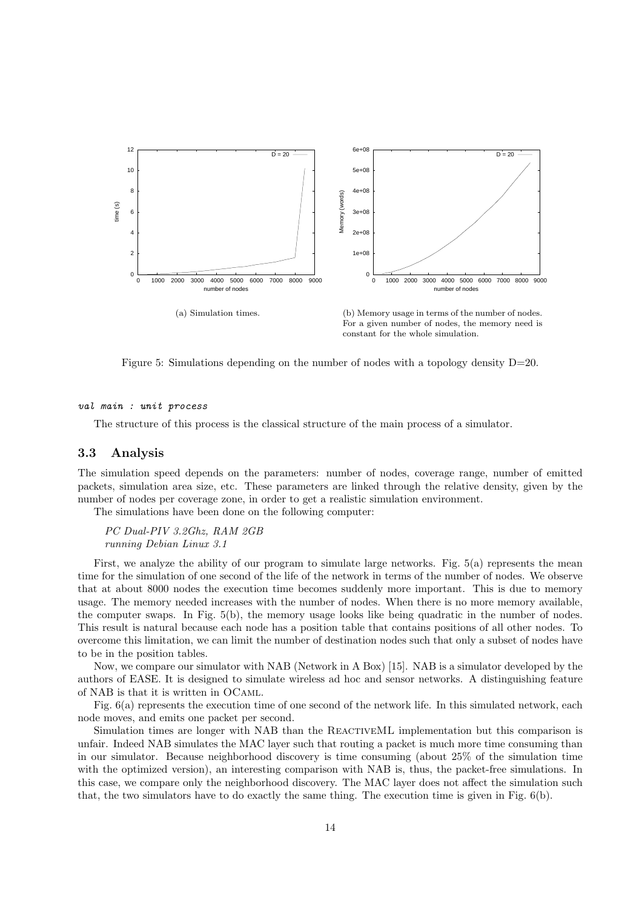<span id="page-13-0"></span>

<span id="page-13-1"></span>For a given number of nodes, the memory need is constant for the whole simulation.

Figure 5: Simulations depending on the number of nodes with a topology density D=20.

#### val main : unit process

The structure of this process is the classical structure of the main process of a simulator.

### 3.3 Analysis

The simulation speed depends on the parameters: number of nodes, coverage range, number of emitted packets, simulation area size, etc. These parameters are linked through the relative density, given by the number of nodes per coverage zone, in order to get a realistic simulation environment.

The simulations have been done on the following computer:

PC Dual-PIV 3.2Ghz, RAM 2GB running Debian Linux 3.1

First, we analyze the ability of our program to simulate large networks. Fig. [5\(a\)](#page-13-0) represents the mean time for the simulation of one second of the life of the network in terms of the number of nodes. We observe that at about 8000 nodes the execution time becomes suddenly more important. This is due to memory usage. The memory needed increases with the number of nodes. When there is no more memory available, the computer swaps. In Fig. [5\(b\),](#page-13-1) the memory usage looks like being quadratic in the number of nodes. This result is natural because each node has a position table that contains positions of all other nodes. To overcome this limitation, we can limit the number of destination nodes such that only a subset of nodes have to be in the position tables.

Now, we compare our simulator with NAB (Network in A Box) [\[15\]](#page-23-9). NAB is a simulator developed by the authors of EASE. It is designed to simulate wireless ad hoc and sensor networks. A distinguishing feature of NAB is that it is written in OCaml.

Fig. [6\(a\)](#page-14-1) represents the execution time of one second of the network life. In this simulated network, each node moves, and emits one packet per second.

Simulation times are longer with NAB than the ReactiveML implementation but this comparison is unfair. Indeed NAB simulates the MAC layer such that routing a packet is much more time consuming than in our simulator. Because neighborhood discovery is time consuming (about 25% of the simulation time with the optimized version), an interesting comparison with NAB is, thus, the packet-free simulations. In this case, we compare only the neighborhood discovery. The MAC layer does not affect the simulation such that, the two simulators have to do exactly the same thing. The execution time is given in Fig. [6\(b\).](#page-14-2)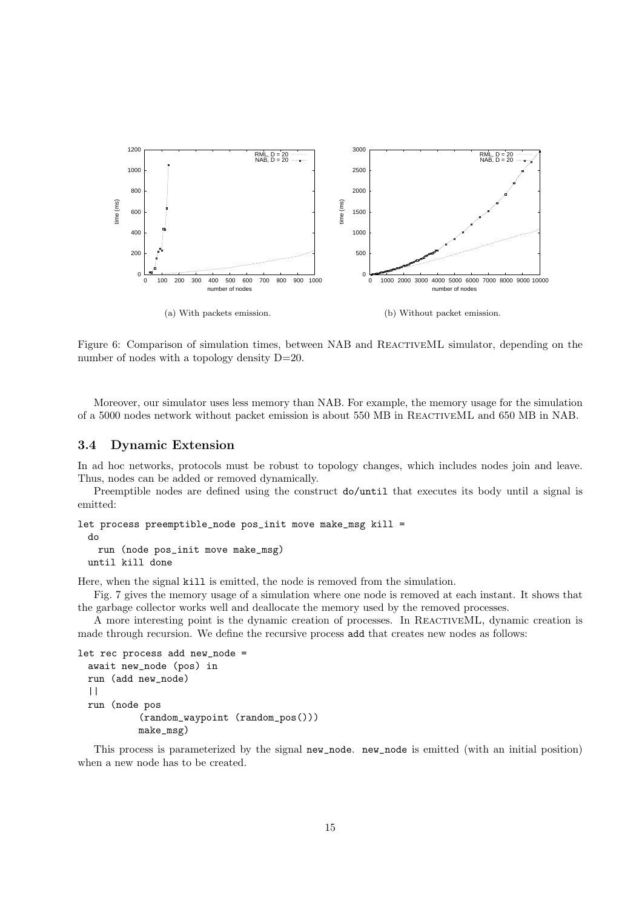<span id="page-14-1"></span>

<span id="page-14-2"></span>Figure 6: Comparison of simulation times, between NAB and REACTIVEML simulator, depending on the number of nodes with a topology density  $D=20$ .

Moreover, our simulator uses less memory than NAB. For example, the memory usage for the simulation of a 5000 nodes network without packet emission is about 550 MB in ReactiveML and 650 MB in NAB.

## <span id="page-14-0"></span>3.4 Dynamic Extension

In ad hoc networks, protocols must be robust to topology changes, which includes nodes join and leave. Thus, nodes can be added or removed dynamically.

Preemptible nodes are defined using the construct  $d\rho/\text{until}$  that executes its body until a signal is emitted:

```
let process preemptible_node pos_init move make_msg kill =
 do
   run (node pos_init move make_msg)
 until kill done
```
Here, when the signal kill is emitted, the node is removed from the simulation.

Fig. [7](#page-15-1) gives the memory usage of a simulation where one node is removed at each instant. It shows that the garbage collector works well and deallocate the memory used by the removed processes.

A more interesting point is the dynamic creation of processes. In ReactiveML, dynamic creation is made through recursion. We define the recursive process add that creates new nodes as follows:

```
let rec process add new_node =
 await new_node (pos) in
 run (add new_node)
 ||
 run (node pos
           (random_waypoint (random_pos()))
           make_msg)
```
This process is parameterized by the signal new\_node. new\_node is emitted (with an initial position) when a new node has to be created.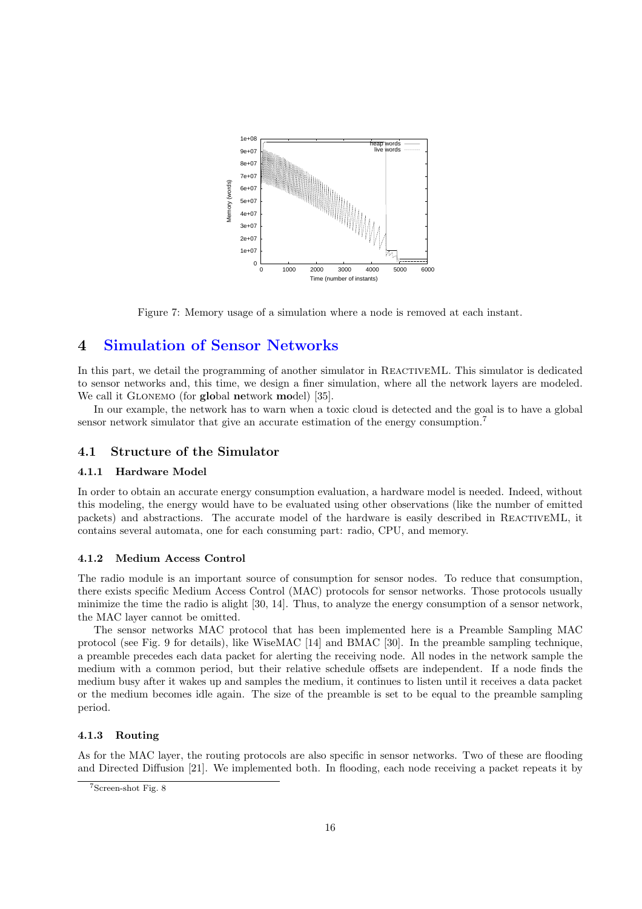

<span id="page-15-1"></span>Figure 7: Memory usage of a simulation where a node is removed at each instant.

# <span id="page-15-0"></span>4 [Simulation of Sensor Networks](http://ReactiveML.org/spe/glonemo)

In this part, we detail the programming of another simulator in ReactiveML. This simulator is dedicated to sensor networks and, this time, we design a finer simulation, where all the network layers are modeled. We call it GLONEMO (for global network model) [\[35\]](#page-25-3).

In our example, the network has to warn when a toxic cloud is detected and the goal is to have a global sensor network simulator that give an accurate estimation of the energy consumption.[7](#page-15-2)

### 4.1 Structure of the Simulator

#### 4.1.1 Hardware Model

In order to obtain an accurate energy consumption evaluation, a hardware model is needed. Indeed, without this modeling, the energy would have to be evaluated using other observations (like the number of emitted packets) and abstractions. The accurate model of the hardware is easily described in ReactiveML, it contains several automata, one for each consuming part: radio, CPU, and memory.

### 4.1.2 Medium Access Control

The radio module is an important source of consumption for sensor nodes. To reduce that consumption, there exists specific Medium Access Control (MAC) protocols for sensor networks. Those protocols usually minimize the time the radio is alight [\[30,](#page-24-7) [14\]](#page-23-10). Thus, to analyze the energy consumption of a sensor network, the MAC layer cannot be omitted.

The sensor networks MAC protocol that has been implemented here is a Preamble Sampling MAC protocol (see Fig. [9](#page-16-0) for details), like WiseMAC [\[14\]](#page-23-10) and BMAC [\[30\]](#page-24-7). In the preamble sampling technique, a preamble precedes each data packet for alerting the receiving node. All nodes in the network sample the medium with a common period, but their relative schedule offsets are independent. If a node finds the medium busy after it wakes up and samples the medium, it continues to listen until it receives a data packet or the medium becomes idle again. The size of the preamble is set to be equal to the preamble sampling period.

#### 4.1.3 Routing

<span id="page-15-2"></span>As for the MAC layer, the routing protocols are also specific in sensor networks. Two of these are flooding and Directed Diffusion [\[21\]](#page-24-8). We implemented both. In flooding, each node receiving a packet repeats it by

<sup>7</sup>Screen-shot Fig. [8](#page-16-1)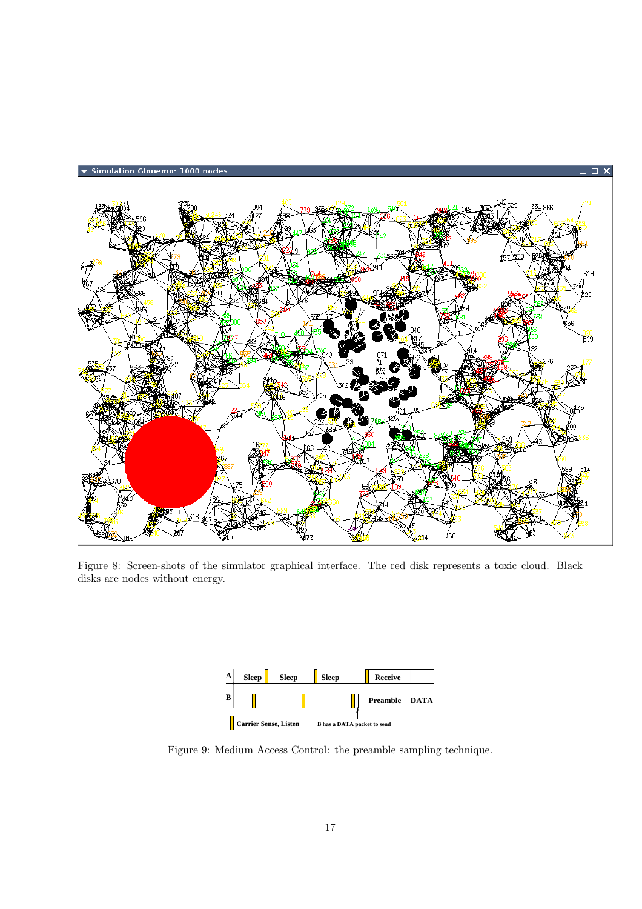

<span id="page-16-1"></span>Figure 8: Screen-shots of the simulator graphical interface. The red disk represents a toxic cloud. Black disks are nodes without energy.



<span id="page-16-0"></span>Figure 9: Medium Access Control: the preamble sampling technique.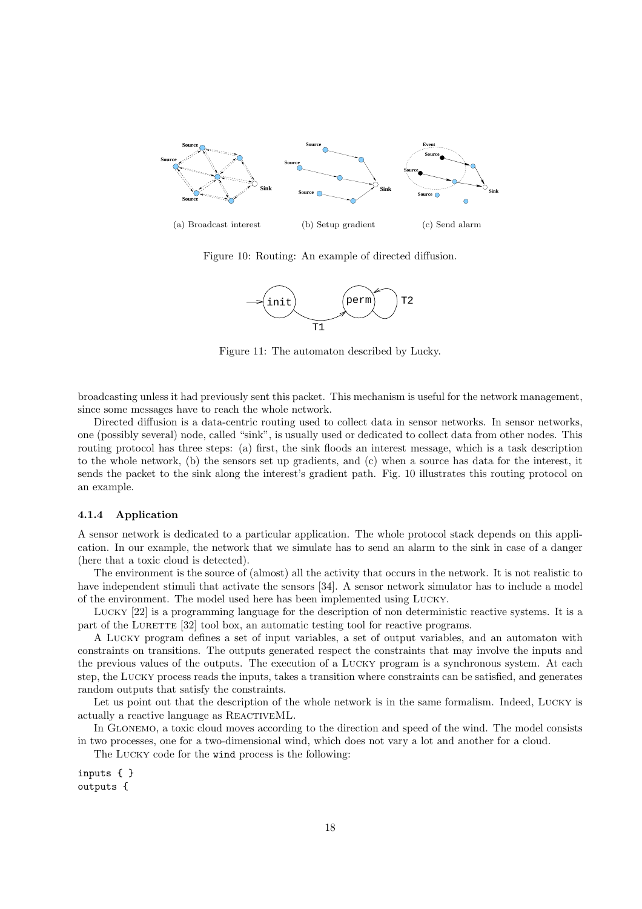

<span id="page-17-1"></span>Figure 10: Routing: An example of directed diffusion.



<span id="page-17-2"></span>Figure 11: The automaton described by Lucky.

broadcasting unless it had previously sent this packet. This mechanism is useful for the network management, since some messages have to reach the whole network.

Directed diffusion is a data-centric routing used to collect data in sensor networks. In sensor networks, one (possibly several) node, called "sink", is usually used or dedicated to collect data from other nodes. This routing protocol has three steps: (a) first, the sink floods an interest message, which is a task description to the whole network, (b) the sensors set up gradients, and (c) when a source has data for the interest, it sends the packet to the sink along the interest's gradient path. Fig. [10](#page-17-1) illustrates this routing protocol on an example.

### <span id="page-17-0"></span>4.1.4 Application

A sensor network is dedicated to a particular application. The whole protocol stack depends on this application. In our example, the network that we simulate has to send an alarm to the sink in case of a danger (here that a toxic cloud is detected).

The environment is the source of (almost) all the activity that occurs in the network. It is not realistic to have independent stimuli that activate the sensors [\[34\]](#page-25-2). A sensor network simulator has to include a model of the environment. The model used here has been implemented using Lucky.

Lucky [\[22\]](#page-24-5) is a programming language for the description of non deterministic reactive systems. It is a part of the LURETTE [\[32\]](#page-24-9) tool box, an automatic testing tool for reactive programs.

A Lucky program defines a set of input variables, a set of output variables, and an automaton with constraints on transitions. The outputs generated respect the constraints that may involve the inputs and the previous values of the outputs. The execution of a Lucky program is a synchronous system. At each step, the Lucky process reads the inputs, takes a transition where constraints can be satisfied, and generates random outputs that satisfy the constraints.

Let us point out that the description of the whole network is in the same formalism. Indeed, LUCKY is actually a reactive language as REACTIVEML.

In Glonemo, a toxic cloud moves according to the direction and speed of the wind. The model consists in two processes, one for a two-dimensional wind, which does not vary a lot and another for a cloud.

The Lucky code for the wind process is the following:

inputs { } outputs {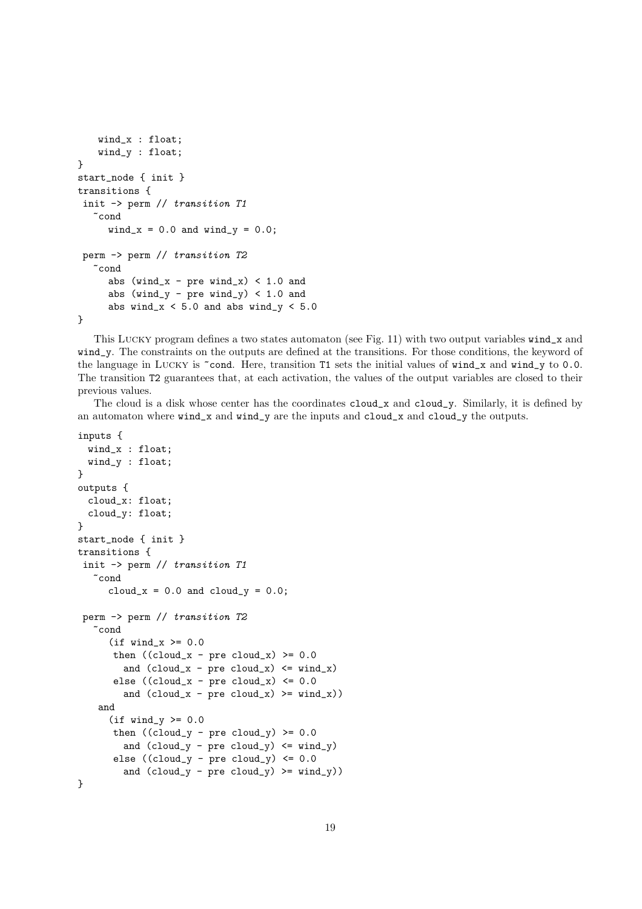```
wind_x : float;
   wind_y : float;
}
start_node { init }
transitions {
init -> perm // transition T1
   ~cond
     wind_x = 0.0 and wind_y = 0.0;
perm -> perm // transition T2
   ~cond
     abs (wind_x - pre wind_x) < 1.0 and
     abs (wind_y - pre wind_y) \leq 1.0 and
     abs wind_x \lt 5.0 and abs wind_y \lt 5.0
}
```
This LUCKY program defines a two states automaton (see Fig. [11\)](#page-17-2) with two output variables wind\_x and wind\_y. The constraints on the outputs are defined at the transitions. For those conditions, the keyword of the language in LUCKY is ~cond. Here, transition T1 sets the initial values of wind\_x and wind\_y to 0.0. The transition T2 guarantees that, at each activation, the values of the output variables are closed to their previous values.

The cloud is a disk whose center has the coordinates cloud\_x and cloud\_y. Similarly, it is defined by an automaton where wind\_x and wind\_y are the inputs and cloud\_x and cloud\_y the outputs.

```
inputs {
 wind_x : float;
 wind_y : float;
}
outputs {
 cloud_x: float;
 cloud_y: float;
}
start node { init }
transitions {
 init -> perm // transition T1
  ~cond
     cloud_x = 0.0 and cloud_y = 0.0;
perm -> perm // transition T2
   ~cond
     (if wind_x \ge 0.0then ((cloud_x - pre cloud_x) >= 0.0and (cloud_x - pre cloud_x) \leq wind_x)else ((cloud_x - pre cloud_x) \le 0.0and (cloud_x - pre cloud_x) >= wind_x))and
     (if wind_y \ge 0.0then ((cloud_y - pre cloud_y) >= 0.0and (cloud_y - pre cloud_y) \leq wind_y)else ((cloud_y - pre cloud_y) <= 0.0
        and (cloud_y - pre cloud_y) >= wind_y)
```
}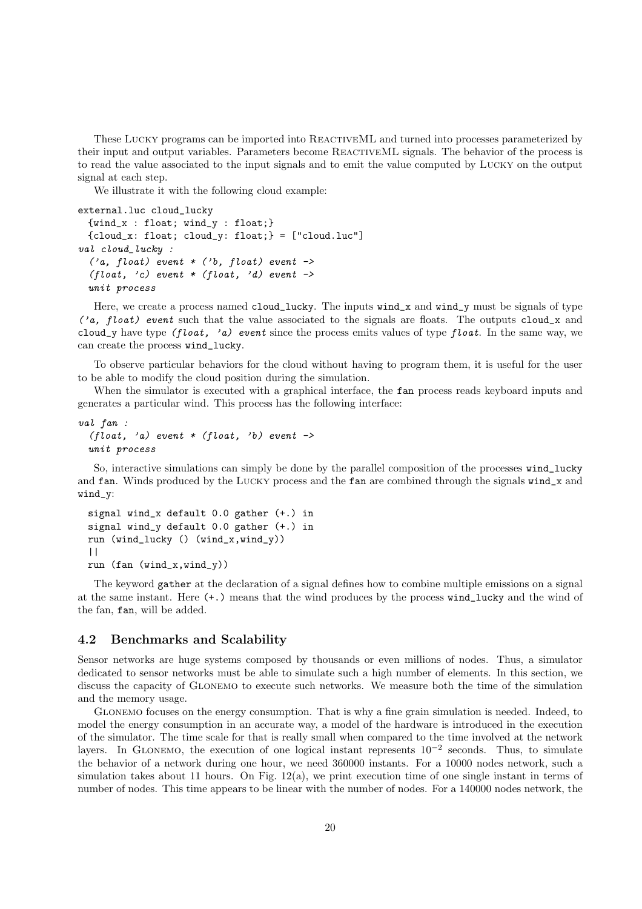These LUCKY programs can be imported into REACTIVEML and turned into processes parameterized by their input and output variables. Parameters become ReactiveML signals. The behavior of the process is to read the value associated to the input signals and to emit the value computed by Lucky on the output signal at each step.

We illustrate it with the following cloud example:

```
external.luc cloud_lucky
 {wind_x : float; wind_y : float;}
 {cloud_x: float; cloud_y: float;} = ['cloud.luc']val cloud_lucky :
  ('a, float) event * ('b, float) event ->
  (float, 'c) event * (float, 'd) event \rightarrowunit process
```
Here, we create a process named cloud\_lucky. The inputs  $wind\_x$  and  $wind\_y$  must be signals of type  $('a, float)$  event such that the value associated to the signals are floats. The outputs cloud\_x and cloud\_y have type  $(float, 'a)$  event since the process emits values of type float. In the same way, we can create the process wind\_lucky.

To observe particular behaviors for the cloud without having to program them, it is useful for the user to be able to modify the cloud position during the simulation.

When the simulator is executed with a graphical interface, the fan process reads keyboard inputs and generates a particular wind. This process has the following interface:

```
val fan :
  (float, 'a) event * (float, 'b) event \rightarrowunit process
```
So, interactive simulations can simply be done by the parallel composition of the processes wind\_lucky and fan. Winds produced by the LUCKY process and the fan are combined through the signals wind\_x and wind\_y:

```
signal wind_x default 0.0 gather (+.) in
signal wind_y default 0.0 gather (+.) in
run (wind_lucky () (wind_x,wind_y))
| \cdot |run (fan (wind_x,wind_y))
```
The keyword gather at the declaration of a signal defines how to combine multiple emissions on a signal at the same instant. Here (+.) means that the wind produces by the process wind\_lucky and the wind of the fan, fan, will be added.

### 4.2 Benchmarks and Scalability

Sensor networks are huge systems composed by thousands or even millions of nodes. Thus, a simulator dedicated to sensor networks must be able to simulate such a high number of elements. In this section, we discuss the capacity of Glonemo to execute such networks. We measure both the time of the simulation and the memory usage.

Glonemo focuses on the energy consumption. That is why a fine grain simulation is needed. Indeed, to model the energy consumption in an accurate way, a model of the hardware is introduced in the execution of the simulator. The time scale for that is really small when compared to the time involved at the network layers. In Glonemo, the execution of one logical instant represents 10<sup>−</sup><sup>2</sup> seconds. Thus, to simulate the behavior of a network during one hour, we need 360000 instants. For a 10000 nodes network, such a simulation takes about 11 hours. On Fig.  $12(a)$ , we print execution time of one single instant in terms of number of nodes. This time appears to be linear with the number of nodes. For a 140000 nodes network, the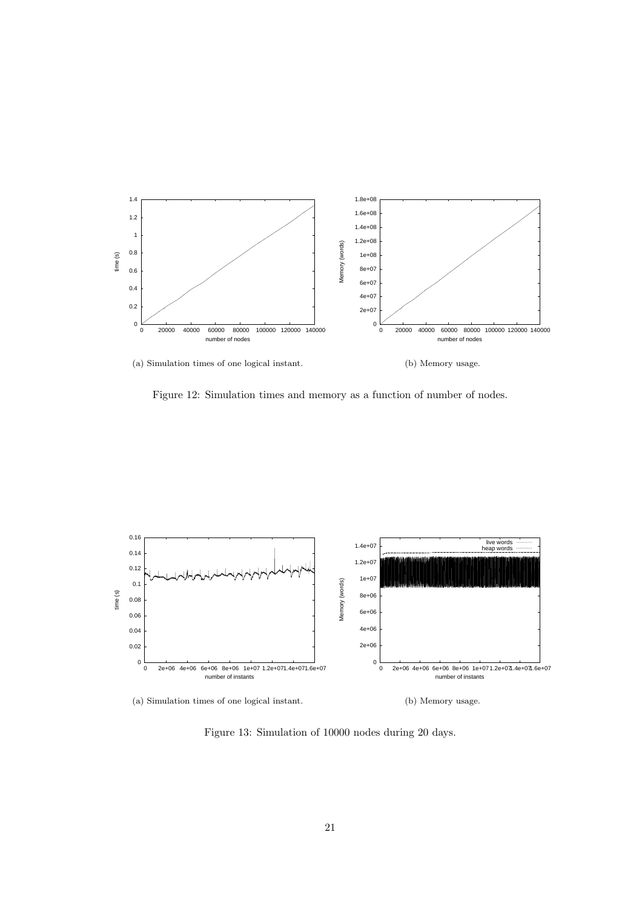<span id="page-20-0"></span>

<span id="page-20-1"></span>Figure 12: Simulation times and memory as a function of number of nodes.

<span id="page-20-4"></span>

(a) Simulation times of one logical instant.

(b) Memory usage.

<span id="page-20-3"></span><span id="page-20-2"></span>Figure 13: Simulation of 10000 nodes during 20 days.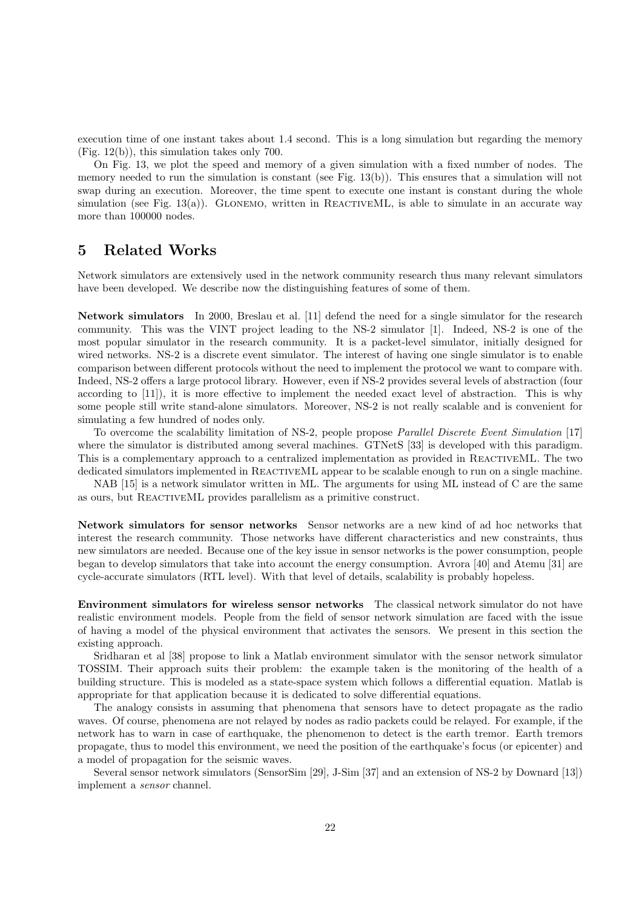execution time of one instant takes about 1.4 second. This is a long simulation but regarding the memory (Fig. [12\(b\)\)](#page-20-1), this simulation takes only 700.

On Fig. [13,](#page-20-2) we plot the speed and memory of a given simulation with a fixed number of nodes. The memory needed to run the simulation is constant (see Fig.  $13(b)$ ). This ensures that a simulation will not swap during an execution. Moreover, the time spent to execute one instant is constant during the whole simulation (see Fig.  $13(a)$ ). GLONEMO, written in REACTIVEML, is able to simulate in an accurate way more than 100000 nodes.

# <span id="page-21-0"></span>5 Related Works

Network simulators are extensively used in the network community research thus many relevant simulators have been developed. We describe now the distinguishing features of some of them.

Network simulators In 2000, Breslau et al. [\[11\]](#page-23-6) defend the need for a single simulator for the research community. This was the VINT project leading to the NS-2 simulator [\[1\]](#page-23-0). Indeed, NS-2 is one of the most popular simulator in the research community. It is a packet-level simulator, initially designed for wired networks. NS-2 is a discrete event simulator. The interest of having one single simulator is to enable comparison between different protocols without the need to implement the protocol we want to compare with. Indeed, NS-2 offers a large protocol library. However, even if NS-2 provides several levels of abstraction (four according to [\[11\]](#page-23-6)), it is more effective to implement the needed exact level of abstraction. This is why some people still write stand-alone simulators. Moreover, NS-2 is not really scalable and is convenient for simulating a few hundred of nodes only.

To overcome the scalability limitation of NS-2, people propose Parallel Discrete Event Simulation [\[17\]](#page-24-10) where the simulator is distributed among several machines. GTNetS [\[33\]](#page-24-11) is developed with this paradigm. This is a complementary approach to a centralized implementation as provided in ReactiveML. The two dedicated simulators implemented in ReactiveML appear to be scalable enough to run on a single machine.

NAB [\[15\]](#page-23-9) is a network simulator written in ML. The arguments for using ML instead of C are the same as ours, but ReactiveML provides parallelism as a primitive construct.

Network simulators for sensor networks Sensor networks are a new kind of ad hoc networks that interest the research community. Those networks have different characteristics and new constraints, thus new simulators are needed. Because one of the key issue in sensor networks is the power consumption, people began to develop simulators that take into account the energy consumption. Avrora [\[40\]](#page-25-4) and Atemu [\[31\]](#page-24-12) are cycle-accurate simulators (RTL level). With that level of details, scalability is probably hopeless.

<span id="page-21-1"></span>Environment simulators for wireless sensor networks The classical network simulator do not have realistic environment models. People from the field of sensor network simulation are faced with the issue of having a model of the physical environment that activates the sensors. We present in this section the existing approach.

Sridharan et al [\[38\]](#page-25-5) propose to link a Matlab environment simulator with the sensor network simulator TOSSIM. Their approach suits their problem: the example taken is the monitoring of the health of a building structure. This is modeled as a state-space system which follows a differential equation. Matlab is appropriate for that application because it is dedicated to solve differential equations.

The analogy consists in assuming that phenomena that sensors have to detect propagate as the radio waves. Of course, phenomena are not relayed by nodes as radio packets could be relayed. For example, if the network has to warn in case of earthquake, the phenomenon to detect is the earth tremor. Earth tremors propagate, thus to model this environment, we need the position of the earthquake's focus (or epicenter) and a model of propagation for the seismic waves.

Several sensor network simulators (SensorSim [\[29\]](#page-24-13), J-Sim [\[37\]](#page-25-6) and an extension of NS-2 by Downard [\[13\]](#page-23-11)) implement a sensor channel.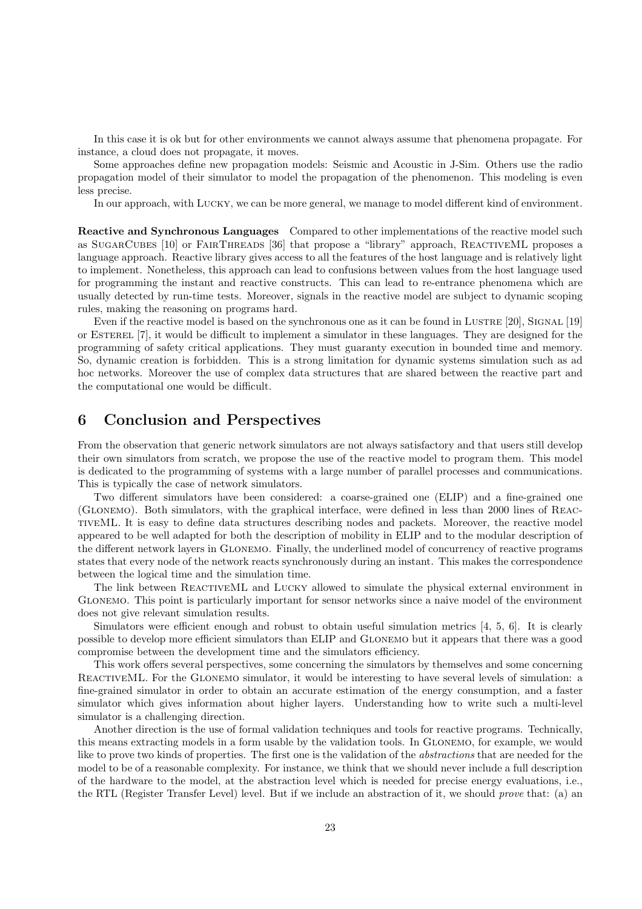In this case it is ok but for other environments we cannot always assume that phenomena propagate. For instance, a cloud does not propagate, it moves.

Some approaches define new propagation models: Seismic and Acoustic in J-Sim. Others use the radio propagation model of their simulator to model the propagation of the phenomenon. This modeling is even less precise.

In our approach, with Lucky, we can be more general, we manage to model different kind of environment.

Reactive and Synchronous Languages Compared to other implementations of the reactive model such as SugarCubes [\[10\]](#page-23-2) or FairThreads [\[36\]](#page-25-0) that propose a "library" approach, ReactiveML proposes a language approach. Reactive library gives access to all the features of the host language and is relatively light to implement. Nonetheless, this approach can lead to confusions between values from the host language used for programming the instant and reactive constructs. This can lead to re-entrance phenomena which are usually detected by run-time tests. Moreover, signals in the reactive model are subject to dynamic scoping rules, making the reasoning on programs hard.

Even if the reactive model is based on the synchronous one as it can be found in LUSTRE  $[20]$ , SIGNAL  $[19]$ or Esterel [\[7\]](#page-23-12), it would be difficult to implement a simulator in these languages. They are designed for the programming of safety critical applications. They must guaranty execution in bounded time and memory. So, dynamic creation is forbidden. This is a strong limitation for dynamic systems simulation such as ad hoc networks. Moreover the use of complex data structures that are shared between the reactive part and the computational one would be difficult.

# <span id="page-22-0"></span>6 Conclusion and Perspectives

From the observation that generic network simulators are not always satisfactory and that users still develop their own simulators from scratch, we propose the use of the reactive model to program them. This model is dedicated to the programming of systems with a large number of parallel processes and communications. This is typically the case of network simulators.

Two different simulators have been considered: a coarse-grained one (ELIP) and a fine-grained one (Glonemo). Both simulators, with the graphical interface, were defined in less than 2000 lines of ReactiveML. It is easy to define data structures describing nodes and packets. Moreover, the reactive model appeared to be well adapted for both the description of mobility in ELIP and to the modular description of the different network layers in Glonemo. Finally, the underlined model of concurrency of reactive programs states that every node of the network reacts synchronously during an instant. This makes the correspondence between the logical time and the simulation time.

The link between ReactiveML and Lucky allowed to simulate the physical external environment in Glonemo. This point is particularly important for sensor networks since a naive model of the environment does not give relevant simulation results.

Simulators were efficient enough and robust to obtain useful simulation metrics [\[4,](#page-23-13) [5,](#page-23-14) [6\]](#page-23-8). It is clearly possible to develop more efficient simulators than ELIP and Glonemo but it appears that there was a good compromise between the development time and the simulators efficiency.

This work offers several perspectives, some concerning the simulators by themselves and some concerning REACTIVEML. For the GLONEMO simulator, it would be interesting to have several levels of simulation: a fine-grained simulator in order to obtain an accurate estimation of the energy consumption, and a faster simulator which gives information about higher layers. Understanding how to write such a multi-level simulator is a challenging direction.

Another direction is the use of formal validation techniques and tools for reactive programs. Technically, this means extracting models in a form usable by the validation tools. In Glonemo, for example, we would like to prove two kinds of properties. The first one is the validation of the abstractions that are needed for the model to be of a reasonable complexity. For instance, we think that we should never include a full description of the hardware to the model, at the abstraction level which is needed for precise energy evaluations, i.e., the RTL (Register Transfer Level) level. But if we include an abstraction of it, we should prove that: (a) an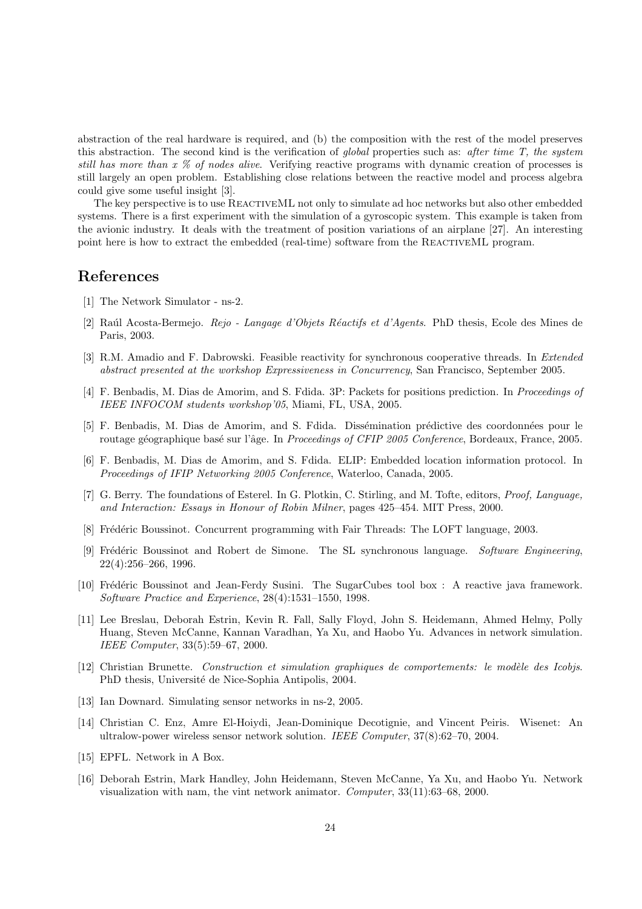abstraction of the real hardware is required, and (b) the composition with the rest of the model preserves this abstraction. The second kind is the verification of global properties such as: after time T, the system still has more than x % of nodes alive. Verifying reactive programs with dynamic creation of processes is still largely an open problem. Establishing close relations between the reactive model and process algebra could give some useful insight [\[3\]](#page-23-15).

The key perspective is to use REACTIVEML not only to simulate ad hoc networks but also other embedded systems. There is a first experiment with the simulation of a gyroscopic system. This example is taken from the avionic industry. It deals with the treatment of position variations of an airplane [\[27\]](#page-24-16). An interesting point here is how to extract the embedded (real-time) software from the ReactiveML program.

# <span id="page-23-0"></span>References

- <span id="page-23-3"></span>[1] The Network Simulator - ns-2.
- <span id="page-23-15"></span>[2] Ra´ul Acosta-Bermejo. Rejo - Langage d'Objets R´eactifs et d'Agents. PhD thesis, Ecole des Mines de Paris, 2003.
- [3] R.M. Amadio and F. Dabrowski. Feasible reactivity for synchronous cooperative threads. In Extended abstract presented at the workshop Expressiveness in Concurrency, San Francisco, September 2005.
- <span id="page-23-14"></span><span id="page-23-13"></span>[4] F. Benbadis, M. Dias de Amorim, and S. Fdida. 3P: Packets for positions prediction. In Proceedings of IEEE INFOCOM students workshop'05, Miami, FL, USA, 2005.
- [5] F. Benbadis, M. Dias de Amorim, and S. Fdida. Dissémination prédictive des coordonnées pour le routage géographique basé sur l'âge. In Proceedings of CFIP 2005 Conference, Bordeaux, France, 2005.
- <span id="page-23-8"></span>[6] F. Benbadis, M. Dias de Amorim, and S. Fdida. ELIP: Embedded location information protocol. In Proceedings of IFIP Networking 2005 Conference, Waterloo, Canada, 2005.
- <span id="page-23-12"></span>[7] G. Berry. The foundations of Esterel. In G. Plotkin, C. Stirling, and M. Tofte, editors, Proof, Language, and Interaction: Essays in Honour of Robin Milner, pages 425–454. MIT Press, 2000.
- <span id="page-23-4"></span><span id="page-23-1"></span>[8] Frédéric Boussinot. Concurrent programming with Fair Threads: The LOFT language, 2003.
- [9] Frédéric Boussinot and Robert de Simone. The SL synchronous language. Software Engineering. 22(4):256–266, 1996.
- <span id="page-23-2"></span>[10] Frédéric Boussinot and Jean-Ferdy Susini. The SugarCubes tool box : A reactive java framework. Software Practice and Experience, 28(4):1531–1550, 1998.
- <span id="page-23-6"></span>[11] Lee Breslau, Deborah Estrin, Kevin R. Fall, Sally Floyd, John S. Heidemann, Ahmed Helmy, Polly Huang, Steven McCanne, Kannan Varadhan, Ya Xu, and Haobo Yu. Advances in network simulation. IEEE Computer, 33(5):59–67, 2000.
- <span id="page-23-5"></span>[12] Christian Brunette. Construction et simulation graphiques de comportements: le modèle des Icobjs. PhD thesis, Université de Nice-Sophia Antipolis, 2004.
- <span id="page-23-11"></span><span id="page-23-10"></span>[13] Ian Downard. Simulating sensor networks in ns-2, 2005.
- [14] Christian C. Enz, Amre El-Hoiydi, Jean-Dominique Decotignie, and Vincent Peiris. Wisenet: An ultralow-power wireless sensor network solution. IEEE Computer, 37(8):62–70, 2004.
- <span id="page-23-9"></span><span id="page-23-7"></span>[15] EPFL. Network in A Box.
- [16] Deborah Estrin, Mark Handley, John Heidemann, Steven McCanne, Ya Xu, and Haobo Yu. Network visualization with nam, the vint network animator. Computer, 33(11):63–68, 2000.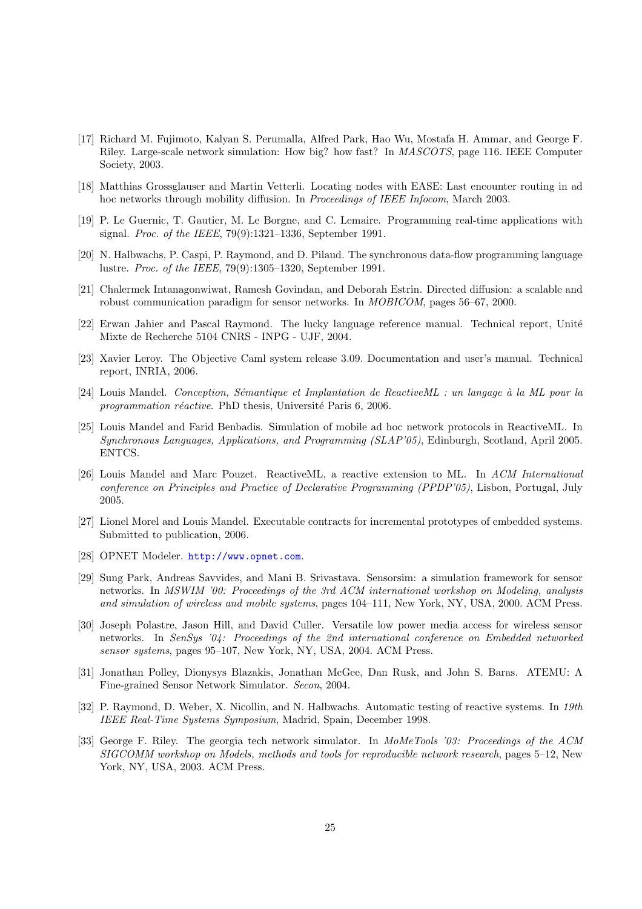- <span id="page-24-10"></span>[17] Richard M. Fujimoto, Kalyan S. Perumalla, Alfred Park, Hao Wu, Mostafa H. Ammar, and George F. Riley. Large-scale network simulation: How big? how fast? In MASCOTS, page 116. IEEE Computer Society, 2003.
- <span id="page-24-15"></span><span id="page-24-0"></span>[18] Matthias Grossglauser and Martin Vetterli. Locating nodes with EASE: Last encounter routing in ad hoc networks through mobility diffusion. In Proceedings of IEEE Infocom, March 2003.
- [19] P. Le Guernic, T. Gautier, M. Le Borgne, and C. Lemaire. Programming real-time applications with signal. Proc. of the IEEE, 79(9):1321–1336, September 1991.
- <span id="page-24-14"></span><span id="page-24-8"></span>[20] N. Halbwachs, P. Caspi, P. Raymond, and D. Pilaud. The synchronous data-flow programming language lustre. Proc. of the IEEE, 79(9):1305–1320, September 1991.
- [21] Chalermek Intanagonwiwat, Ramesh Govindan, and Deborah Estrin. Directed diffusion: a scalable and robust communication paradigm for sensor networks. In MOBICOM, pages 56–67, 2000.
- <span id="page-24-5"></span>[22] Erwan Jahier and Pascal Raymond. The lucky language reference manual. Technical report, Unité Mixte de Recherche 5104 CNRS - INPG - UJF, 2004.
- <span id="page-24-4"></span><span id="page-24-3"></span>[23] Xavier Leroy. The Objective Caml system release 3.09. Documentation and user's manual. Technical report, INRIA, 2006.
- [24] Louis Mandel. Conception, Sémantique et Implantation de ReactiveML : un langage à la ML pour la programmation réactive. PhD thesis, Université Paris 6, 2006.
- <span id="page-24-6"></span>[25] Louis Mandel and Farid Benbadis. Simulation of mobile ad hoc network protocols in ReactiveML. In Synchronous Languages, Applications, and Programming (SLAP'05), Edinburgh, Scotland, April 2005. ENTCS.
- <span id="page-24-2"></span>[26] Louis Mandel and Marc Pouzet. ReactiveML, a reactive extension to ML. In ACM International conference on Principles and Practice of Declarative Programming (PPDP'05), Lisbon, Portugal, July 2005.
- <span id="page-24-16"></span>[27] Lionel Morel and Louis Mandel. Executable contracts for incremental prototypes of embedded systems. Submitted to publication, 2006.
- <span id="page-24-13"></span><span id="page-24-1"></span>[28] OPNET Modeler. <http://www.opnet.com>.
- [29] Sung Park, Andreas Savvides, and Mani B. Srivastava. Sensorsim: a simulation framework for sensor networks. In MSWIM '00: Proceedings of the 3rd ACM international workshop on Modeling, analysis and simulation of wireless and mobile systems, pages 104–111, New York, NY, USA, 2000. ACM Press.
- <span id="page-24-7"></span>[30] Joseph Polastre, Jason Hill, and David Culler. Versatile low power media access for wireless sensor networks. In SenSys '04: Proceedings of the 2nd international conference on Embedded networked sensor systems, pages 95–107, New York, NY, USA, 2004. ACM Press.
- <span id="page-24-12"></span>[31] Jonathan Polley, Dionysys Blazakis, Jonathan McGee, Dan Rusk, and John S. Baras. ATEMU: A Fine-grained Sensor Network Simulator. Secon, 2004.
- <span id="page-24-9"></span>[32] P. Raymond, D. Weber, X. Nicollin, and N. Halbwachs. Automatic testing of reactive systems. In 19th IEEE Real-Time Systems Symposium, Madrid, Spain, December 1998.
- <span id="page-24-11"></span>[33] George F. Riley. The georgia tech network simulator. In MoMeTools '03: Proceedings of the ACM SIGCOMM workshop on Models, methods and tools for reproducible network research, pages 5–12, New York, NY, USA, 2003. ACM Press.